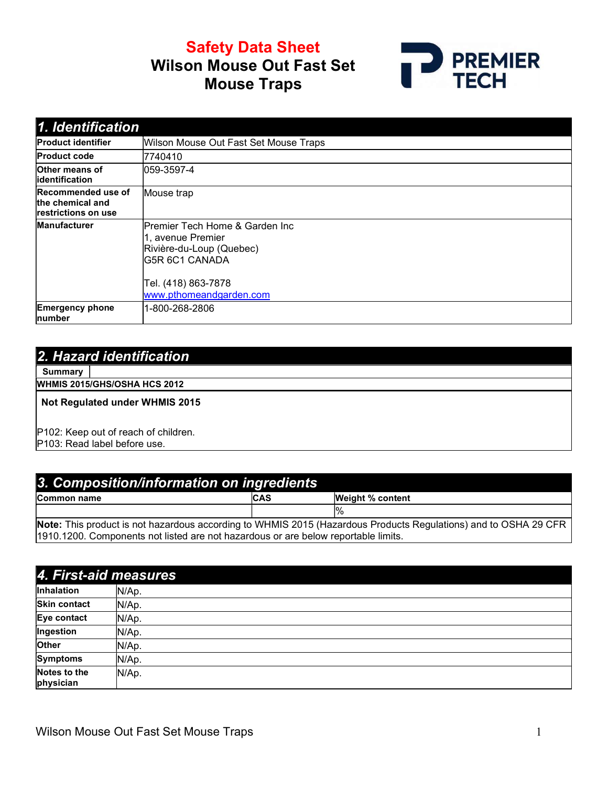# Safety Data Sheet Wilson Mouse Out Fast Set Mouse Traps



| 1. Identification                                              |                                                                                                                                                             |
|----------------------------------------------------------------|-------------------------------------------------------------------------------------------------------------------------------------------------------------|
| <b>Product identifier</b>                                      | Wilson Mouse Out Fast Set Mouse Traps                                                                                                                       |
| <b>Product code</b>                                            | 7740410                                                                                                                                                     |
| <b>Other means of</b><br>lidentification                       | $ 059 - 3597 - 4 $                                                                                                                                          |
| Recommended use of<br>the chemical and<br>Irestrictions on use | Mouse trap                                                                                                                                                  |
| <b>Manufacturer</b>                                            | Premier Tech Home & Garden Inc<br>1, avenue Premier<br>Rivière-du-Loup (Quebec)<br><b>IG5R 6C1 CANADA</b><br>Tel. (418) 863-7878<br>www.pthomeandgarden.com |
| <b>Emergency phone</b><br>number                               | 1-800-268-2806                                                                                                                                              |

#### 2. Hazard identification

**Summary** 

WHMIS 2015/GHS/OSHA HCS 2012

Not Regulated under WHMIS 2015

P102: Keep out of reach of children.

P103: Read label before use.

| 3. Composition/information on ingredients                                           |            |                                                                                                                 |
|-------------------------------------------------------------------------------------|------------|-----------------------------------------------------------------------------------------------------------------|
| <b>Common name</b>                                                                  | <b>CAS</b> | <b>Weight % content</b>                                                                                         |
|                                                                                     |            |                                                                                                                 |
|                                                                                     |            | Note: This product is not hazardous according to WHMIS 2015 (Hazardous Products Regulations) and to OSHA 29 CFR |
| [1910.1200. Components not listed are not hazardous or are below reportable limits. |            |                                                                                                                 |

| 4. First-aid measures     |       |
|---------------------------|-------|
| Inhalation                | N/Ap. |
| <b>Skin contact</b>       | N/Ap. |
| Eye contact               | N/Ap. |
| Ingestion                 | N/Ap. |
| <b>Other</b>              | N/Ap. |
| <b>Symptoms</b>           | N/Ap. |
| Notes to the<br>physician | N/Ap. |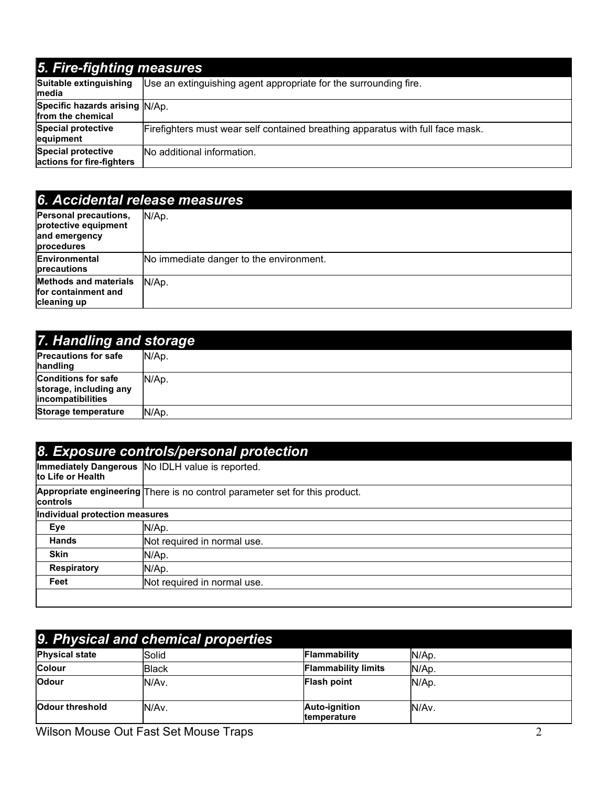#### 5. Fire-fighting measures Suitable extinguishing media Use an extinguishing agent appropriate for the surrounding fire. Specific hazards arising N/Ap. from the chemical Special protective equipment Firefighters must wear self contained breathing apparatus with full face mask. Special protective actions for fire-fighters No additional information.

### 6. Accidental release measures

| Personal precautions,<br>protective equipment<br>and emergency<br>procedures | N/Ap.                                   |
|------------------------------------------------------------------------------|-----------------------------------------|
| Environmental<br>precautions                                                 | No immediate danger to the environment. |
| <b>Methods and materials</b><br>for containment and<br>cleaning up           | N/Ap.                                   |

| 7. Handling and storage                                                           |        |
|-----------------------------------------------------------------------------------|--------|
| <b>Precautions for safe</b><br>handling                                           | IN/Ap. |
| <b>Conditions for safe</b><br>storage, including any<br><i>lincompatibilities</i> | N/Ap.  |
| Storage temperature                                                               | N/Ap.  |

| Immediately Dangerous  No IDLH value is reported.                           |  |  |
|-----------------------------------------------------------------------------|--|--|
|                                                                             |  |  |
| Appropriate engineering There is no control parameter set for this product. |  |  |
| Individual protection measures                                              |  |  |
|                                                                             |  |  |
| Not required in normal use.                                                 |  |  |
|                                                                             |  |  |
|                                                                             |  |  |
| Not required in normal use.                                                 |  |  |
|                                                                             |  |  |

| 9. Physical and chemical properties |        |                                     |       |
|-------------------------------------|--------|-------------------------------------|-------|
| <b>Physical state</b>               | Solid  | Flammability                        | N/Ap. |
| <b>Colour</b>                       | lBlack | <b>Flammability limits</b>          | N/Ap. |
| <b>Odour</b>                        | IN/Av. | <b>Flash point</b>                  | N/Ap. |
| <b>Odour threshold</b>              | N/Av.  | <b>Auto-ignition</b><br>temperature | N/Av. |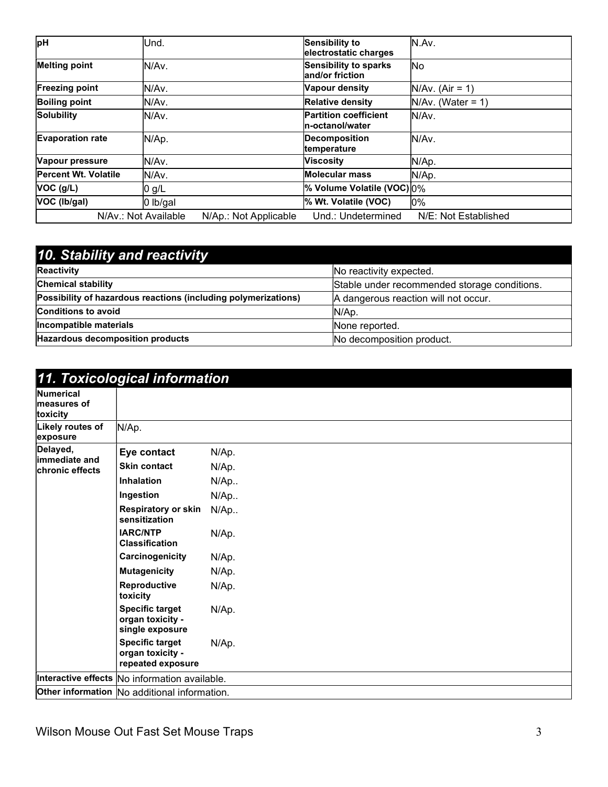| pH                          | lUnd.                                         | <b>Sensibility to</b><br>electrostatic charges   | IN.Av.               |
|-----------------------------|-----------------------------------------------|--------------------------------------------------|----------------------|
| <b>Melting point</b>        | IN/Av.                                        | Sensibility to sparks<br>and/or friction         | lNo                  |
| <b>Freezing point</b>       | N/Av.                                         | Vapour density                                   | $N/Av.$ (Air = 1)    |
| <b>Boiling point</b>        | N/Av.                                         | <b>Relative density</b>                          | $N/Av.$ (Water = 1)  |
| <b>Solubility</b>           | lN/Av.                                        | <b>Partition coefficient</b><br>In-octanol/water | IN/Av.               |
| <b>Evaporation rate</b>     | N/Ap.                                         | Decomposition<br>temperature                     | IN/Av.               |
| Vapour pressure             | lN/Av.                                        | <b>Viscosity</b>                                 | N/Ap.                |
| <b>Percent Wt. Volatile</b> | N/Av.                                         | <b>Molecular mass</b>                            | N/Ap.                |
| $VOC$ ( $g/L$ )             | 0 g/L                                         | % Volume Volatile (VOC) 0%                       |                      |
| VOC (Ib/gal)                | $ 0 \t{b/gal}$                                | % Wt. Volatile (VOC)                             | 10%                  |
|                             | N/Av.: Not Available<br>N/Ap.: Not Applicable | Und.: Undetermined                               | N/E: Not Established |

| 10. Stability and reactivity                                   |                                              |  |
|----------------------------------------------------------------|----------------------------------------------|--|
| Reactivity                                                     | No reactivity expected.                      |  |
| <b>Chemical stability</b>                                      | Stable under recommended storage conditions. |  |
| Possibility of hazardous reactions (including polymerizations) | A dangerous reaction will not occur.         |  |
| <b>Conditions to avoid</b>                                     | N/Ap.                                        |  |
| Incompatible materials                                         | None reported.                               |  |
| <b>Hazardous decomposition products</b>                        | No decomposition product.                    |  |

|                                             | 11. Toxicological information                                   |        |
|---------------------------------------------|-----------------------------------------------------------------|--------|
| <b>Numerical</b><br>measures of<br>toxicity |                                                                 |        |
| Likely routes of<br>exposure                | N/Ap.                                                           |        |
| Delayed,<br>limmediate and                  | Eye contact                                                     | N/Ap.  |
| <b>Ichronic effects</b>                     | <b>Skin contact</b>                                             | N/Ap.  |
|                                             | <b>Inhalation</b>                                               | N/Ap   |
|                                             | Ingestion                                                       | N/Ap   |
|                                             | <b>Respiratory or skin</b><br>sensitization                     | $N/Ap$ |
|                                             | <b>IARC/NTP</b><br><b>Classification</b>                        | N/Ap.  |
|                                             | Carcinogenicity                                                 | N/Ap.  |
|                                             | <b>Mutagenicity</b>                                             | N/Ap.  |
|                                             | Reproductive<br>toxicity                                        | N/Ap.  |
|                                             | <b>Specific target</b><br>organ toxicity -<br>single exposure   | N/Ap.  |
|                                             | <b>Specific target</b><br>organ toxicity -<br>repeated exposure | N/Ap.  |
|                                             | Interactive effects No information available.                   |        |
|                                             | Other information No additional information.                    |        |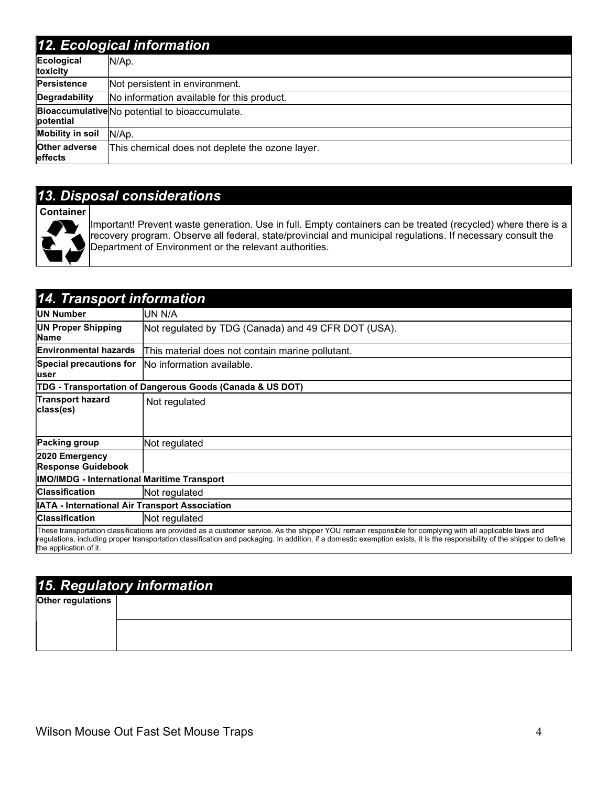#### 12. Ecological information

|                                        | TZ. LCOIOGICAI IIIIOHIIAUOH                     |
|----------------------------------------|-------------------------------------------------|
| Ecological<br><b>toxicity</b>          | N/Ap.                                           |
| Persistence                            | Not persistent in environment.                  |
| Degradability                          | No information available for this product.      |
| potential                              | Bioaccumulative No potential to bioaccumulate.  |
| <b>Mobility in soil</b>                | N/Ap.                                           |
| <b>Other adverse</b><br><b>effects</b> | This chemical does not deplete the ozone layer. |

## 13. Disposal considerations

**Container** 



Important! Prevent waste generation. Use in full. Empty containers can be treated (recycled) where there is a recovery program. Observe all federal, state/provincial and municipal regulations. If necessary consult the Department of Environment or the relevant authorities.

| <b>14. Transport information</b>                      |                                                                                                                                                                                                                                                                                                                                        |
|-------------------------------------------------------|----------------------------------------------------------------------------------------------------------------------------------------------------------------------------------------------------------------------------------------------------------------------------------------------------------------------------------------|
| UN Number                                             | UN N/A                                                                                                                                                                                                                                                                                                                                 |
| <b>UN Proper Shipping</b><br><b>Name</b>              | Not regulated by TDG (Canada) and 49 CFR DOT (USA).                                                                                                                                                                                                                                                                                    |
| <b>Environmental hazards</b>                          | This material does not contain marine pollutant.                                                                                                                                                                                                                                                                                       |
| Special precautions for<br>luser                      | lNo information available.                                                                                                                                                                                                                                                                                                             |
|                                                       | TDG - Transportation of Dangerous Goods (Canada & US DOT)                                                                                                                                                                                                                                                                              |
| <b>Transport hazard</b><br>class(es)                  | Not regulated                                                                                                                                                                                                                                                                                                                          |
| <b>Packing group</b>                                  | Not regulated                                                                                                                                                                                                                                                                                                                          |
| 2020 Emergency<br><b>Response Guidebook</b>           |                                                                                                                                                                                                                                                                                                                                        |
| <b>IMO/IMDG - International Maritime Transport</b>    |                                                                                                                                                                                                                                                                                                                                        |
| <b>Classification</b>                                 | Not regulated                                                                                                                                                                                                                                                                                                                          |
| <b>IATA - International Air Transport Association</b> |                                                                                                                                                                                                                                                                                                                                        |
| <b>Classification</b>                                 | Not regulated                                                                                                                                                                                                                                                                                                                          |
| the application of it.                                | These transportation classifications are provided as a customer service. As the shipper YOU remain responsible for complying with all applicable laws and<br>regulations, including proper transportation classification and packaging. In addition, if a domestic exemption exists, it is the responsibility of the shipper to define |

the application of it.

| 15. Regulatory information |  |
|----------------------------|--|
| <b>Other regulations</b>   |  |
|                            |  |